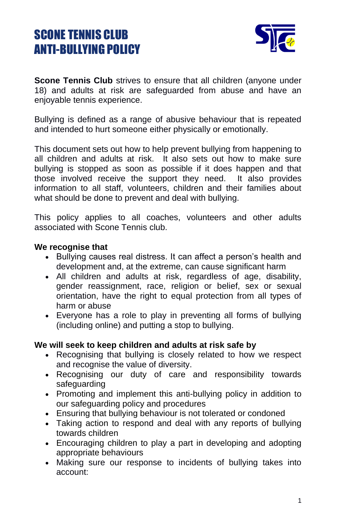# SCONE TENNIS CLUB ANTI-BULLYING POLICY



**Scone Tennis Club** strives to ensure that all children (anyone under 18) and adults at risk are safeguarded from abuse and have an enjoyable tennis experience.

Bullying is defined as a range of abusive behaviour that is repeated and intended to hurt someone either physically or emotionally.

This document sets out how to help prevent bullying from happening to all children and adults at risk. It also sets out how to make sure bullying is stopped as soon as possible if it does happen and that those involved receive the support they need. It also provides information to all staff, volunteers, children and their families about what should be done to prevent and deal with bullying.

This policy applies to all coaches, volunteers and other adults associated with Scone Tennis club.

#### **We recognise that**

- Bullying causes real distress. It can affect a person's health and development and, at the extreme, can cause significant harm
- All children and adults at risk, regardless of age, disability, gender reassignment, race, religion or belief, sex or sexual orientation, have the right to equal protection from all types of harm or abuse
- Everyone has a role to play in preventing all forms of bullying (including online) and putting a stop to bullying.

### **We will seek to keep children and adults at risk safe by**

- Recognising that bullying is closely related to how we respect and recognise the value of diversity.
- Recognising our duty of care and responsibility towards safeguarding
- Promoting and implement this anti-bullying policy in addition to our safeguarding policy and procedures
- Ensuring that bullying behaviour is not tolerated or condoned
- Taking action to respond and deal with any reports of bullying towards children
- Encouraging children to play a part in developing and adopting appropriate behaviours
- Making sure our response to incidents of bullying takes into account: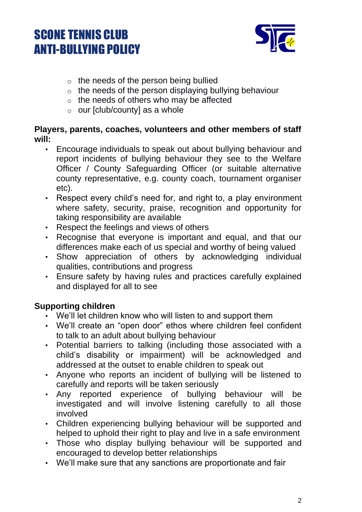# SCONE TENNIS CLUB ANTI-BULLYING POLICY



- $\circ$  the needs of the person being bullied
- $\circ$  the needs of the person displaying bullying behaviour
- $\circ$  the needs of others who may be affected
- $\circ$  our [club/county] as a whole

### **Players, parents, coaches, volunteers and other members of staff will:**

- Encourage individuals to speak out about bullying behaviour and report incidents of bullying behaviour they see to the Welfare Officer / County Safeguarding Officer (or suitable alternative county representative, e.g. county coach, tournament organiser etc).
- Respect every child's need for, and right to, a play environment where safety, security, praise, recognition and opportunity for taking responsibility are available
- Respect the feelings and views of others
- Recognise that everyone is important and equal, and that our differences make each of us special and worthy of being valued
- Show appreciation of others by acknowledging individual qualities, contributions and progress
- Ensure safety by having rules and practices carefully explained and displayed for all to see

## **Supporting children**

- We'll let children know who will listen to and support them
- We'll create an "open door" ethos where children feel confident to talk to an adult about bullying behaviour
- Potential barriers to talking (including those associated with a child's disability or impairment) will be acknowledged and addressed at the outset to enable children to speak out
- Anyone who reports an incident of bullying will be listened to carefully and reports will be taken seriously
- Any reported experience of bullying behaviour will be investigated and will involve listening carefully to all those involved
- Children experiencing bullying behaviour will be supported and helped to uphold their right to play and live in a safe environment
- Those who display bullying behaviour will be supported and encouraged to develop better relationships
- We'll make sure that any sanctions are proportionate and fair